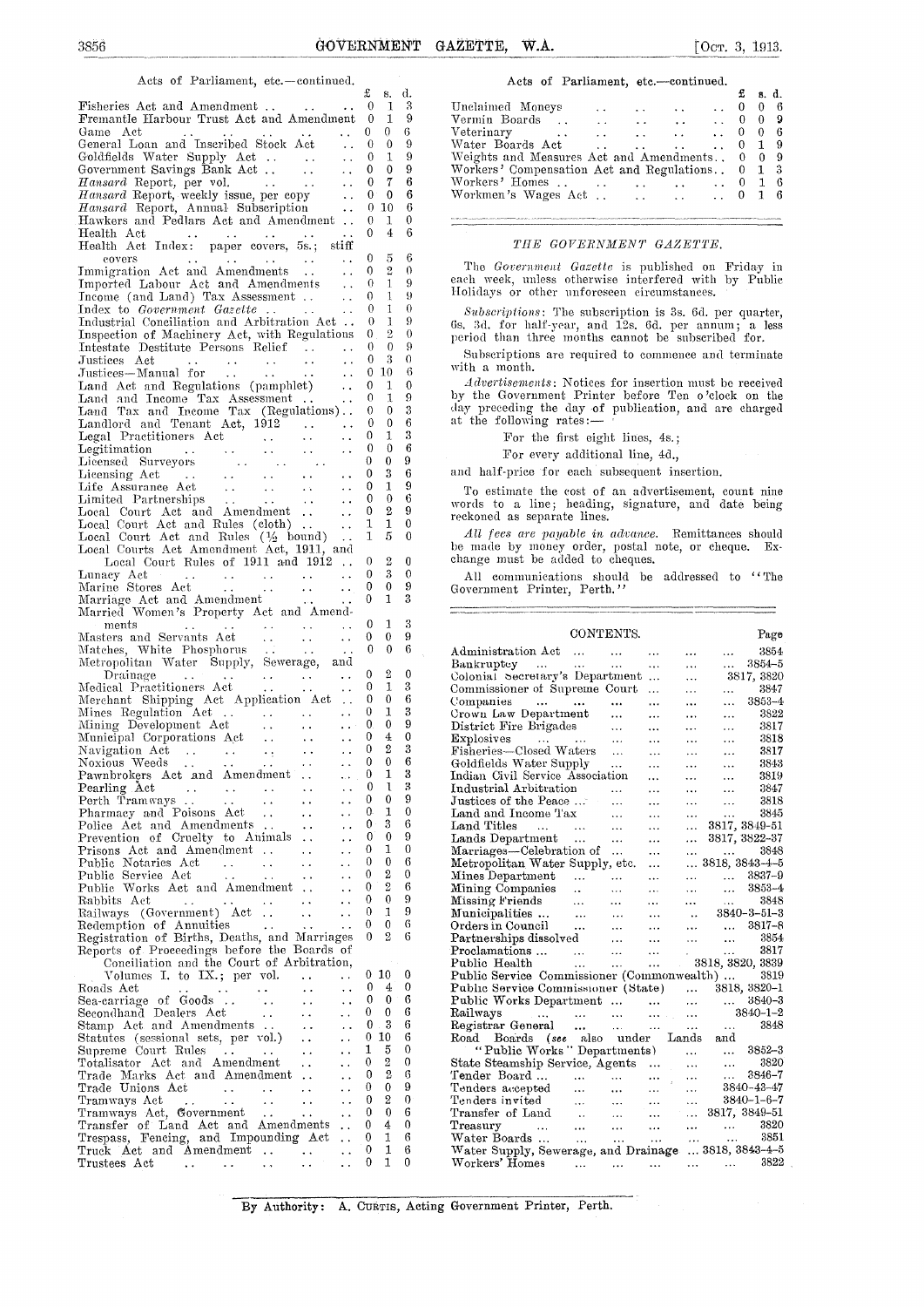|                                                                                                                                                                                                                                          | £                        | - 8. d.                          |                              | $V^2$ is assuming the $V^2$<br>s. d.                                                                                                                                                       |
|------------------------------------------------------------------------------------------------------------------------------------------------------------------------------------------------------------------------------------------|--------------------------|----------------------------------|------------------------------|--------------------------------------------------------------------------------------------------------------------------------------------------------------------------------------------|
| Fisheries Act and Amendment 0 1                                                                                                                                                                                                          |                          |                                  | 3                            | $\bf{0}$<br>Unclaimed Moneys<br>$0\quad 6$<br>$\sim 10^{-10}$                                                                                                                              |
| Fremantle Harbour Trust Act and Amendment 0 1                                                                                                                                                                                            |                          |                                  | 9                            | Vermin Boards<br>Veterinary<br>Water Boards Act<br>Water Boards Act<br>Act<br>$\mathbf{0}$<br>$0\quad 9$                                                                                   |
| Game Act<br>$\ldots$ 0                                                                                                                                                                                                                   |                          | $\theta$                         | 6                            | 0<br>$\mathbf{0}$<br>- 6                                                                                                                                                                   |
| General Loan and Inscribed Stock Act  0<br>$\ldots$ 0                                                                                                                                                                                    |                          | $\theta$<br>1                    | -9<br>9                      | 19<br>$\mathbf{0}$<br>$\theta$<br>0 <sup>9</sup>                                                                                                                                           |
| Goldfields Water Supply Act                                                                                                                                                                                                              |                          | $\mathbf{0}$                     | 9                            | Weights and Measures Act and Amendments<br>Workers' Compensation Act and Regulations<br>13<br>$\theta$                                                                                     |
| Hansard Report, per vol. 0                                                                                                                                                                                                               |                          | $\tau$                           | $\boldsymbol{6}$             | $1\quad 6$<br>$\overline{0}$                                                                                                                                                               |
|                                                                                                                                                                                                                                          |                          |                                  | 6                            | Workers' Homes<br>Workmen's Wages Act<br>$\mathbf{0}$<br>1 <sub>6</sub>                                                                                                                    |
| Hansard Report, weekly issue, per copy 0 0<br>Hansard Report, Annual Subscription 0 10                                                                                                                                                   |                          |                                  | -6                           |                                                                                                                                                                                            |
| Hawkers and Pedlars Act and Amendment  0                                                                                                                                                                                                 |                          | 1                                | $\mathbf{0}$                 |                                                                                                                                                                                            |
| Health Act $\cdots$ $\cdots$ $\cdots$ $\cdots$ $\cdots$ 0                                                                                                                                                                                |                          | -4                               | 6                            |                                                                                                                                                                                            |
| Health Act Index: paper covers, 5s.; stiff                                                                                                                                                                                               |                          |                                  |                              | THE GOVERNMENT GAZETTE.                                                                                                                                                                    |
| covers<br>and the second contract of the second contract of the second second contract of the second second second second second second second second second second second second second second second second second second second secon | $\mathbf{0}$             | 5                                | 6                            | The Government Gazette is published on Friday in                                                                                                                                           |
| Immigration Act and Amendments                                                                                                                                                                                                           | $\overline{0}$           | $\overline{2}$                   | $\theta$                     | each week, unless otherwise interfered with by Public                                                                                                                                      |
| Imported Labour Act and Amendments  0<br>$\ldots$ 0                                                                                                                                                                                      |                          | -1<br>$\mathbf{1}$               | 9<br>9                       | Holidays or other unforeseen circumstances.                                                                                                                                                |
| Income (and Land) Tax Assessment                                                                                                                                                                                                         |                          | 1                                | $\theta$                     |                                                                                                                                                                                            |
| Industrial Conciliation and Arbitration Act 0                                                                                                                                                                                            |                          | 1                                | $\boldsymbol{9}$             | <i>Subscriptions</i> : The subscription is 3s. 6d. per quarter,                                                                                                                            |
| Inspection of Machinery Act, with Regulations 0                                                                                                                                                                                          |                          | $\,2$                            | $\theta$                     | 6s. 3d. for half-year, and 12s. 6d. per annum; a less<br>period than three months cannot be subscribed for.                                                                                |
| Intestate Destitute Persons Relief<br><b>Contractor</b>                                                                                                                                                                                  | $\theta$                 | $\theta$                         | 9                            |                                                                                                                                                                                            |
|                                                                                                                                                                                                                                          |                          |                                  | $\Omega$                     | Subscriptions are required to commence and terminate                                                                                                                                       |
|                                                                                                                                                                                                                                          |                          |                                  | 6                            | with a month.                                                                                                                                                                              |
| Land Act and Regulations (pamphlet)  0                                                                                                                                                                                                   |                          | 1                                | $\mathbf{0}$                 | <i>Advertisements</i> : Notices for insertion must be received                                                                                                                             |
| Land and Income Tax Assessment 0                                                                                                                                                                                                         |                          | $\mathbf{1}$                     | 9                            | by the Government Printer before Ten o'clock on the                                                                                                                                        |
| Land Tax and Income Tax (Regulations) 0                                                                                                                                                                                                  |                          | $\theta$                         | 3                            | day preceding the day of publication, and are charged                                                                                                                                      |
| Landlord and Tenant Act, $1\dot{9}12$                                                                                                                                                                                                    | $\theta$                 | $\overline{0}$                   | 6                            | at the following rates:-                                                                                                                                                                   |
|                                                                                                                                                                                                                                          |                          | $\mathbf{1}$                     | 3                            | For the first eight lines, 4s.;                                                                                                                                                            |
|                                                                                                                                                                                                                                          |                          | $\overline{0}$                   | $\boldsymbol{6}$<br>$\Omega$ | For every additional line, 4d.,                                                                                                                                                            |
|                                                                                                                                                                                                                                          | $\mathbf{0}$             | $\theta$<br>3                    | 6                            | and half-price for each subsequent insertion.                                                                                                                                              |
| $\sim 10^{-1}$                                                                                                                                                                                                                           | $\theta$                 | 1                                | 9                            |                                                                                                                                                                                            |
| $\sim 10^{-1}$<br>$\sim 10^{-1}$                                                                                                                                                                                                         | $\mathbf{0}$             | $\theta$                         | 6                            | To estimate the cost of an advertisement, count nine                                                                                                                                       |
| Local Court Act and Amendment<br>$\sim 10^{-1}$                                                                                                                                                                                          | $\mathbf{0}$             | $\boldsymbol{2}$                 | 9                            | words to a line; heading, signature, and date being                                                                                                                                        |
| Local Court Act and Rules (cloth)                                                                                                                                                                                                        | $\mathbf{1}$             | 1                                | $\theta$                     | reckoned as separate lines.                                                                                                                                                                |
| Local Court Act and Rules $(\frac{1}{2}$ bound).                                                                                                                                                                                         | $\mathbf{1}$             | 5                                | $\theta$                     | All fees are payable in advance. Remittances should                                                                                                                                        |
| Local Courts Act Amendment Act, 1911, and                                                                                                                                                                                                |                          |                                  |                              | be made by money order, postal note, or cheque. Ex-                                                                                                                                        |
| Local Court Rules of $1911$ and $1912$ 0                                                                                                                                                                                                 |                          | $\overline{2}$                   | $\boldsymbol{0}$             | change must be added to cheques.                                                                                                                                                           |
| Lunacy Act<br>Marine Stores Act<br>Marriage Act and Amendment<br>Marriage Act and Amendment                                                                                                                                              | 0                        | 3                                | $\theta$                     | All communications should be addressed to "The                                                                                                                                             |
|                                                                                                                                                                                                                                          | $\theta$                 | $\mathbf{0}$                     | 9                            | Government Printer, Perth."                                                                                                                                                                |
|                                                                                                                                                                                                                                          | $\mathbf{0}$             | 1                                | 3                            |                                                                                                                                                                                            |
| Married Women's Property Act and Amend-                                                                                                                                                                                                  |                          |                                  |                              |                                                                                                                                                                                            |
|                                                                                                                                                                                                                                          | $\mathbf{0}$             | -1                               | 3<br>9                       | CONTENTS.<br>Page                                                                                                                                                                          |
|                                                                                                                                                                                                                                          | $\theta$                 | $\overline{0}$                   |                              |                                                                                                                                                                                            |
|                                                                                                                                                                                                                                          |                          |                                  |                              |                                                                                                                                                                                            |
|                                                                                                                                                                                                                                          | $\bf{0}$                 | $\theta$                         | 6                            | Administration Act<br>3854<br>$\ldots$                                                                                                                                                     |
| ments<br>Masters and Servants Act<br>Matches, White Phosphorus<br>Metropolitan Water Supply, Sewerage, and                                                                                                                               |                          |                                  |                              | $3854 - 5$<br>Bankruptey<br>$\mathbf{1}$ and $\mathbf{1}$<br>$\ddotsc$                                                                                                                     |
|                                                                                                                                                                                                                                          | $\theta$                 | $\boldsymbol{2}$                 | $\theta$                     | Colonial Secretary's Department<br>3817, 3820<br>$\ddotsc$                                                                                                                                 |
|                                                                                                                                                                                                                                          | $\theta$<br>$\mathbf{0}$ | 1<br>$\mathbf{0}$                | 3<br>6                       | Commissioner of Supreme Court<br>3847<br>$\ldots$<br>$\ldots$                                                                                                                              |
| Merchant Shipping Act Application Act                                                                                                                                                                                                    |                          | 1                                | 3                            | $3853 - 4$<br>Companies<br>$\ldots$<br>$\ddotsc$                                                                                                                                           |
|                                                                                                                                                                                                                                          |                          | $\mathbf{0}$                     | 9                            | Crown Law Department<br>3822<br>$\ldots$<br>$\ldots$<br>3817<br>$\ldots$<br>$\ldots$                                                                                                       |
| Mines Regulation Act 0<br>Mining Development Act 0                                                                                                                                                                                       | $\theta$                 | 4                                | $\bf{0}$                     | 3818<br>$\sim$ $\sim$<br>$\ddotsc$                                                                                                                                                         |
|                                                                                                                                                                                                                                          | $\theta$                 | $\boldsymbol{2}$                 | 3                            | District Fire Brigades<br>Explosives<br>Fisheries-Closed Waters<br>3817<br>$\ldots$<br>$\ddotsc$                                                                                           |
|                                                                                                                                                                                                                                          | $\bf{0}$                 | $\mathbf{0}$                     | $\boldsymbol{6}$             | Goldfields Water Supply<br>3843<br>$\ldots$<br>$\ldots$                                                                                                                                    |
| Municipal Corporations Act<br>Navigation Act<br>Noxious Weeds<br>Pawnbrokers Act and Amendment<br>$\sim 10^{-1}$                                                                                                                         | $\mathbf{0}$             | 1                                | 3                            | Indian Civil Service Association<br>3819<br>$\ldots$<br>$\ldots$                                                                                                                           |
| Pearling Act<br>$\sim$ $\sim$<br>$\ddot{\phantom{a}}$                                                                                                                                                                                    | 0                        | 1                                | 3                            | Industrial Arbitration<br>3847<br>$\ldots$<br>                                                                                                                                             |
| Perth Tramways<br>$\ddotsc$<br>$\ddotsc$<br>$\ddot{\phantom{1}}$<br>. .                                                                                                                                                                  | 0                        | $\mathbf{0}$                     | 9                            | Justices of the Peace<br>3818<br>$\cdots$<br>$\ddots$<br>$\ddotsc$<br>                                                                                                                     |
| Pharmacy and Poisons Act<br>$\sim$ $\sim$<br>$\ddot{\phantom{a}}$<br>$\ddot{\phantom{0}}$                                                                                                                                                | $\theta$                 | 1                                | $\theta$                     | Land and Income Tax<br>3845<br>$\sim$<br>$\ldots$<br>$\ddotsc$<br>$\ddotsc$                                                                                                                |
| Police Act and Amendments<br>$\ddot{\phantom{0}}$                                                                                                                                                                                        | 0                        | 3                                | 6                            | Land Titles<br>3817, 3849-51<br>$\overline{1}$ , $\overline{1}$<br>$\ldots$<br>$\cdots$<br>$\ddotsc$<br>$\ldots$                                                                           |
| Prevention of Cruelty to Animals<br>$\ddot{\phantom{a}}$<br>$\ddot{\phantom{0}}$                                                                                                                                                         | $\theta$                 | $\bf{0}$                         | 9                            | Lands Department<br>3817, 3822-37<br>$\sim$<br>$\ddotsc$<br>$\ldots$<br>$\ddotsc$                                                                                                          |
| Prisons Act and Amendment<br>$\epsilon$ .<br>$\ddot{\phantom{0}}$                                                                                                                                                                        | 0                        | 1                                | $\theta$                     | Marriages—Celebration of<br>3848<br>$\ddotsc$<br>$\ldots$<br>$\sim 10^{-1}$                                                                                                                |
| Public Notaries Act<br>$\ddot{\phantom{a}}$<br>$\ddot{\phantom{a}}$<br>$\ddot{\phantom{0}}$<br>$\ddot{\phantom{0}}$<br>$\ddot{\phantom{0}}$                                                                                              | 0<br>0                   | $\bf{0}$<br>2                    | 6<br>$\mathbf{0}$            | Metropolitan Water Supply, etc.<br>$\dots$ 3818, 3843-4-5<br>$\ldots$                                                                                                                      |
| Public Service Act<br>$\sim$ $\sim$<br>$\sim$ $\sim$<br>$\ddot{\phantom{0}}$<br>Public Works Act and Amendment<br>$\ddot{\phantom{0}}$                                                                                                   | 0                        | $\overline{2}$                   | 6                            | $3837 - 9$<br>Mines Department<br>$\sim 100$<br>$\cdots$<br>$\sim 10^{-11}$<br>$\ddotsc$<br>$\cdots$<br>$3853 - 4$<br>$\ddotsc$<br>$\ldots$                                                |
| Rabbits Act<br>$\sim$ $\sim$<br>and the state of the<br>$\sim$ $\sim$<br>$\ddot{\phantom{a}}$                                                                                                                                            | 0                        | $\mathbf{0}$                     | 9                            | Mining Companies<br>$\sim 100$<br>$\ddotsc$<br>$\ldots$<br>Missing Friends<br>3848<br>$\cdots$<br>$\ldots$<br>$\cdots$<br>$\cdots$<br>$\ldots$                                             |
| $\ddot{\phantom{a}}$<br>$\ddot{\phantom{0}}$                                                                                                                                                                                             | 0                        | $\mathbf{1}$                     | 9                            | $3840 - 3 - 51 - 3$<br>Municipalities<br>$\ddotsc$<br>$\ldots$<br>$\ldots$<br>$\ddot{\phantom{a}}$                                                                                         |
| Railways (Government) Act<br>Redemption of Annuities<br>$\sim 100$<br>$\ddotsc$                                                                                                                                                          | 0                        | $\mathbf{0}$                     | 6                            | Orders in Council<br>$3817 - 8$<br>$\ddotsc$<br>$\ddotsc$<br>$\overline{\mathbf{a}}$<br>$\cdots$<br>$\ldots$                                                                               |
| Registration of Births, Deaths, and Marriages                                                                                                                                                                                            | $\overline{0}$           | $\overline{2}$                   | 6                            | 3854<br>Partnerships dissolved<br>$\cdots$<br>$\ldots$<br>$\cdots$<br>$\cdots$                                                                                                             |
| Reports of Proceedings before the Boards of                                                                                                                                                                                              |                          |                                  |                              | 3817<br>Proclamations<br>$\mathbf{1}$ .<br>$\ddotsc$<br>$\ddotsc$<br>$\ldots$<br>¥.                                                                                                        |
| Conciliation and the Court of Arbitration,                                                                                                                                                                                               |                          |                                  |                              | Public Health<br>$\mathcal{L}_{\text{max}}$<br>$\ddotsc$<br>3818, 3820, 3839<br>$\ddotsc$                                                                                                  |
| Volumes I. to IX.; per vol.<br>$\ddot{\phantom{a}}$<br>$\ddot{\phantom{0}}$                                                                                                                                                              |                          | 0 10                             | 0                            | Public Service Commissioner (Commonwealth)<br>3819                                                                                                                                         |
| Roads Act<br>$\ddotsc$<br>$\ddot{\phantom{a}}$<br>$\mathbf{A}$ , and $\mathbf{A}$                                                                                                                                                        | $\theta$                 | 4                                | 0                            | 3818, 3820-1<br>Public Service Commissioner (State)<br>$\ddotsc$                                                                                                                           |
| Sea-carriage of Goods<br><b>Carlos</b><br>$\sim$ .<br>$\ddot{\phantom{a}}$                                                                                                                                                               | $\mathbf{0}$             | $\overline{0}$                   | 6                            | Public Works Department<br>$\dots$ 3840-3<br>$\mathbf{1.1}$<br>$\bar{\nu}$ .                                                                                                               |
| Secondhand Dealers Act<br>$\sim 100$<br>$\ddot{\phantom{a}}$ .<br>$\sim$ $\sim$                                                                                                                                                          | 0                        | $\bf{0}$                         | 6                            | Railways<br>$3840 - 1 - 2$<br><b>Contract Contract</b><br>$\mathbf{1.4} \times \mathbf{1.4}$<br>$\sim 10^{-1}$<br><b>SAMPLE ST</b><br>$\cdots$                                             |
| Stamp Act and Amendments<br>$\ddot{\phantom{a}}$ .<br>$\ddotsc$                                                                                                                                                                          | 0                        | 3                                | 6                            | Registrar General<br>3848<br>$\ddotsc$<br>$\ddotsc$<br>$\sim 10$<br>$\ldots$<br>$\ldots$                                                                                                   |
| Statutes (sessional sets, per vol.)<br>$\ddot{\phantom{a}}$<br>$\ddot{\phantom{a}}$                                                                                                                                                      | 0                        | 10                               | 6                            | Road Boards (see also under Lands<br>and                                                                                                                                                   |
| Supreme Court Rules<br><b>Contract Contract</b><br>$\ddotsc$<br>$\ddot{\phantom{0}}$                                                                                                                                                     | 1<br>0                   | 5                                | 0<br>$\theta$                | $3852 - 3$<br>"Public Works" Departments)<br>$\cdots$<br>$\ldots$                                                                                                                          |
| Totalisator Act and Amendment<br>$\ddot{\phantom{a}}$<br>$\ddot{\phantom{0}}$<br>$\ddot{\phantom{a}}$                                                                                                                                    | 0                        | $\overline{2}$<br>$\overline{2}$ | 6                            | 3820<br>State Steamship Service, Agents<br>$\ddotsc$<br>$\cdots$<br>3846-7                                                                                                                 |
| Trade Marks Act and Amendment<br>Trade Unions Act<br><b>Contract Contract</b><br>$\ddot{\phantom{a}}$<br>$\ddot{\phantom{0}}$                                                                                                            | 0                        | $\mathbf 0$                      | 9                            | Tender Board<br>$\sim 100$<br>$\ldots$<br><b>Contractor</b><br>$\cdots$<br>$\ddotsc$<br>Tenders accepted<br>3840-43-47<br>$\mathbf{r}$ , $\mathbf{r}$<br>$\cdots$<br>$\cdots$<br>$\ddotsc$ |
| Tramways Act<br>$\sim$ $\sim$<br>$\sim$ $\sim$<br><b>Service State</b><br>$\ddot{\phantom{0}}$                                                                                                                                           | 0                        | $\overline{2}$                   | 0                            | Tenders invited<br>$3840 - 1 - 6 - 7$<br>$\cdots$<br>$\ddotsc$<br>$\ldots$<br>$\ldots$                                                                                                     |
| $\sim$ $\sim$<br>$\sim$ $\sim$<br>$\ddot{\phantom{0}}$                                                                                                                                                                                   | 0                        | $\mathbf{0}$                     | 6                            | Transfer of Land<br>3817, 3849-51<br>$\sim 100$<br>$\ldots$<br>$\sim$ $\sim$<br>$\sim$                                                                                                     |
| Tramways Act, Government<br>Transfer of Land Act and Amendments<br>$\ddot{\phantom{a}}$                                                                                                                                                  | 0                        | 4                                | 0                            | Treasury<br>3820<br>$\ldots$<br>$\sim 10^{-11}$<br>$\ddotsc$<br>$\ddotsc$<br>$\ldots$<br>$\cdots$                                                                                          |
| Trespass, Fencing, and Impounding Act<br>$\ddot{\phantom{a}}$                                                                                                                                                                            | 0                        | 1                                | 6                            | 3851<br>Water Boards<br>$\ddotsc$<br>$\ldots$<br>$\ldots$<br>$\sim$ .<br>$\ldots$                                                                                                          |
| Truck Act and Amendment<br>$\sim 100$ km s $^{-1}$<br>$\ddot{\phantom{1}}$<br>Trustees Act<br>$\sim 10^{-1}$<br>$\sim$ $\sim$<br><b>Contract Contract</b><br>$\sim 10^{-1}$<br>$\ddot{\phantom{0}}$                                      | 0<br>0                   | 1<br>$\mathbf{1}$                | 6<br>$\theta$                | Water Supply, Sewerage, and Drainage  3818, 3843-4-5<br>3822<br>Workers' Homes<br>$\Delta\Delta\sim 10^{-11}$<br>$\cdots$ $\cdots$<br>$\sim 10^{-11}$                                      |

### Acts of Parliament, etc.—continued.

|                                                                                   |                    | $\pounds$ s.d. |                                                 | f. s. d. |  |
|-----------------------------------------------------------------------------------|--------------------|----------------|-------------------------------------------------|----------|--|
| Fisheries Act and Amendment 0 1 3                                                 |                    |                | Unclaimed Moneys   0 0 6                        |          |  |
| Fremantle Harbour Trust Act and Amendment 0 1 9                                   |                    |                | Vermin Boards 0 0 9                             |          |  |
| Game Act 0 0 6                                                                    |                    |                |                                                 |          |  |
| General Loan and Inscribed Stock Act  0 0 9                                       |                    |                | Water Boards Act 0 1 9                          |          |  |
| Goldfields Water Supply Act0 1 9                                                  |                    |                | Weights and Measures Act and Amendments 0 0 9   |          |  |
| Government Savings Bank Act                                                       | $\ldots$ 0 0 9     |                | Workers' Compensation Act and Regulations 0 1 3 |          |  |
| $Hansard$ Report, per vol. $\qquad \ldots \qquad \ldots \qquad 0 \quad 7 \quad 6$ |                    |                |                                                 |          |  |
| Hansard Report, weekly issue, per copy $\ldots$ 0 0 6                             |                    |                |                                                 |          |  |
| $H$ angang Panant Annual Subsemblion                                              | $\cap$ 10 $\alpha$ |                |                                                 |          |  |

### THE GOVERNMENT GAZETTE.

| Matches, White Phosphorus<br><b>Contractor</b>                                                                                                                    | $\mathbf{0}$ | $\theta$       | -6           | Administration Act<br>3854<br>$\cdots$                                                                                                        |
|-------------------------------------------------------------------------------------------------------------------------------------------------------------------|--------------|----------------|--------------|-----------------------------------------------------------------------------------------------------------------------------------------------|
| Metropolitan Water Supply, Sewerage, and                                                                                                                          |              |                |              | $3854 - 5$<br>Bankruptey<br>and the same state of the same<br>$\ddotsc$<br>$\cdots$                                                           |
| Drainage<br>الرافعان المعارير فإقرارك فقا<br>$\sim$ $\sim$                                                                                                        | $\bf{0}$     | 2              | $\mathbf 0$  | Colonial Secretary's Department<br>3817, 3820<br>$\cdots$                                                                                     |
| Medical Practitioners Act<br>$\sim$ $\sim$<br>$\sim 10^{-11}$<br>$\ddot{\phantom{a}}$                                                                             | $\Omega$     | $\mathbf{I}$   | 3            | Commissioner of Supreme Court<br>3847<br>$\cdots$                                                                                             |
| Merchant Shipping Act Application Act                                                                                                                             | $\Omega$     | $\Omega$       | 6            | $3853 - 4$<br>Companies<br>$\ddotsc$<br>$\cdots$<br>$\ddotsc$                                                                                 |
| Mines Regulation Act<br>$\ddot{\phantom{a}}$<br>$\sim$ $\sim$                                                                                                     | 0            | 1              | 3            | Crown Law Department<br>3822<br>$\ddotsc$<br>$\ddotsc$<br>$\cdots$                                                                            |
| Mining Development Act<br>$\mathbf{r} \in \mathbb{R}^d$<br>$\sim 10^{-1}$<br>$\sim$ $\sim$                                                                        | $\mathbf 0$  | $\mathbf{0}$   | 9            | 3817<br>District Fire Brigades<br>$\sim 1.4$ .<br>$\cdots$<br>$\cdots$<br>$\cdots$                                                            |
| Municipal Corporations Act<br>$\ddotsc$<br>$\ddot{\phantom{a}}$                                                                                                   | $\Omega$     | 4              | $\mathbf{0}$ | 3818<br>$Explosives$<br>$\Delta\Delta\Delta\gamma$<br>$\sim$ $\sim$<br>$\ddotsc$                                                              |
| Navigation Act<br>$\sim$ $\sim$                                                                                                                                   | $\Omega$     | 2              | 3            | 3817<br>Fisheries-Closed Waters<br>$\ddotsc$<br>$\ddotsc$<br>.                                                                                |
| $\ddot{\phantom{a}}$                                                                                                                                              | $\Omega$     | $\Omega$       | 6            | 3843<br>Goldfields Water Supply<br>$\cdots$<br>$\cdots$<br>$\ddotsc$                                                                          |
| Pawnbrokers Act and Amendment<br>$\sim 10^{-11}$                                                                                                                  | $\mathbf{0}$ | 1              | 3            | 3819<br>Indian Civil Service Association<br>$\mathbf{r}$<br>$\cdots$<br>$\cdots$                                                              |
| Pearling Act<br>$\mathcal{L}(\mathcal{L}(\mathcal{L},\mathcal{L},\mathcal{L}))$ . The contribution of the $\mathcal{L}(\mathcal{L},\mathcal{L})$<br>$\sim$ $\sim$ | $\theta$     | 1              | 3            | 3847<br>Industrial Arbitration<br>$\Delta\Delta\Delta$<br>$\cdots$<br>$\mathbf{A}$<br>$\mathbf{r}$                                            |
| $\sim 10$<br>$\sim 10$                                                                                                                                            | $\Omega$     | 0              | 9            | Justices of the Peace<br>3818<br>$\cdots$<br>$\ddotsc$                                                                                        |
| Pharmacy and Poisons Act<br>$\ddotsc$<br>$\ddot{\phantom{0}}$                                                                                                     | $\Omega$     | 1              | $\Omega$     | Land and Income Tax<br>3845<br>$\ddotsc$<br>$\ddotsc$<br>$\cdots$                                                                             |
| Police Act and Amendments<br>$\ddot{\phantom{a}}$<br>$\ddot{\phantom{a}}$                                                                                         | $\mathbf{0}$ | 3              | 6            | المتناول المتناولين<br>Land Titles<br>3817, 3849-51<br>$\cdots$<br>$\mathbf{r}$                                                               |
| Prevention of Cruelty to Animals<br>$\ddot{\phantom{a}}$ .                                                                                                        | 0            | $\theta$       | 9            | Lands Department<br>3817, 3822-37<br>$\mathbf{1}$<br>$\cdots$                                                                                 |
| Prisons Act and Amendment<br>$\sim 100$<br>$\ddot{\phantom{a}}$                                                                                                   | 0            | 1              | $\Omega$     | Marriages—Celebration of<br>3848<br>$\ldots$<br>$\ddotsc$<br>$\cdots$                                                                         |
| Public Notaries Act<br>$\ddot{\phantom{a}}$                                                                                                                       | $\Omega$     | $\theta$       | 6            | $\dots$ 3818, 3843-4-5<br>Metropolitan Water Supply, etc.                                                                                     |
| and the state of the state of the state of the state of the state of the state of the state of the state of the<br>Public Service Act<br>$\ddotsc$                | $\Omega$     | $\overline{2}$ | $\Omega$     | $3837 - 9$<br>Mines Department<br><b>Contract Contract Contract</b><br>asset in<br>$\cdots$<br>$\sim 10^{-11}$                                |
| Public Works Act and Amendment<br>$\ddot{\phantom{a}}$                                                                                                            | 0            | $\overline{2}$ | 6            | 3853-4<br>Mining Companies<br>$\cdots$<br>$\sim 10^{-10}$ m $^{-1}$<br><b>County</b><br>$\sim$<br>$\mathbf{1}$ , $\mathbf{1}$                 |
| Rabbits Act<br>الجعاد العفاري وفقرى الفق<br>$\sim$ $\sim$                                                                                                         | 0            | $\theta$       | 9            | 3848<br>Missing Friends<br>$\sim$<br>$\cdots$<br>$\cdots$<br>$\cdots$                                                                         |
| Railways (Government) Act<br>$\ddot{\phantom{a}}$                                                                                                                 | 0            | 1              | 9            | $3840 - 3 - 51 - 3$<br>$\sim$ 100 $\sim$<br>$\sim 10^{-11}$                                                                                   |
| Redemption of Annuities<br>$\ddot{\phantom{a}}$                                                                                                                   | 0            | 0              | 6            | Municipalities<br>Orders in Council<br>$3817 - 8$<br>$\mathbf{r}$ and $\mathbf{r}$ and $\mathbf{r}$<br>$\mathbf{A}$                           |
| Registration of Births, Deaths, and Marriages                                                                                                                     | $\theta$     | 2              | 6            | Partnerships dissolved<br>3854<br>$\cdots$ $\cdots$<br>$\sim$ $\sim$                                                                          |
| Reports of Proceedings before the Boards of                                                                                                                       |              |                |              | 3817<br>Proclamations<br>$\cdots$<br><b>Contractor</b>                                                                                        |
| Conciliation and the Court of Arbitration,                                                                                                                        |              |                |              | المتحدث والمتعادل والمتعادل<br>3818, 3820, 3839<br>Public Health                                                                              |
| Volumes I, to IX, per vol.<br>$\ddot{\phantom{a}}$<br>$\ddot{\phantom{a}}$                                                                                        |              | 010            | $\bf{0}$     | 3819<br>Public Service Commissioner (Commonwealth)                                                                                            |
| Roads Act<br>and a series of the contract of the<br>$\ddot{\phantom{a}}$                                                                                          | $\Omega$     | 4              | $\theta$     | Public Service Commissioner (State)<br>3818, 3820-1                                                                                           |
| Sea-carriage of Goods<br>$\ddot{\phantom{a}}$ .                                                                                                                   | $\theta$     | $\theta$       | 6            | Public Works Department<br>$3840 - 3$                                                                                                         |
| Secondhand Dealers Act<br>$\sim$ $\sim$<br>$\sim$ $\sim$                                                                                                          | 0            | $\Omega$       | 6            | $3840 - 1 - 2$<br>Railways<br>العبدان والعبدان العبدان العيدان التبديان                                                                       |
| Stamp Act and Amendments  .<br>$\sim$ $\sim$                                                                                                                      | $\Omega$     | 3              | 6            | 3848<br>Registrar General<br><b>ARRIVERS AND PROPERTY ARRIVERS</b><br>$\cdots$<br>$\sim$ and $\sim$                                           |
| Statutes (sessional sets, per vol.)<br>$\ddotsc$<br>$\sim$ $\sim$                                                                                                 | $\Omega$     | 10             | 6            | Road Boards (see also under Lands<br>and                                                                                                      |
| Supreme Court Rules<br>and the state of the state of the state<br>$\ddot{\phantom{a}}$                                                                            | 1            | 5              | $\Omega$     | "Public Works" Departments)<br>$3852 - 3$<br>$\ddotsc$<br>$\cdots$                                                                            |
| Totalisator Act and Amendment<br>$\ddot{\phantom{a}}$<br>$\ddot{\phantom{a}}$                                                                                     | $\mathbf{0}$ | $\overline{2}$ | $\Omega$     | 3820<br>State Steamship Service, Agents<br>$\cdots$                                                                                           |
| Trade Marks Act and Amendment<br>$\ddot{\phantom{a}}$                                                                                                             | 0            | $\overline{2}$ | 6            | 3846-7<br>$\cdots$<br>$\sim 10^{-1}$                                                                                                          |
| Trade Unions Act<br>$\ddot{\phantom{a}}$                                                                                                                          | 0            | 0              | 9            | Tender Board     Tenders accepted    Tenders invited<br>3840-43-47<br>$\mathcal{L}_{\mathcal{A}}$ .                                           |
| $\mathcal{L}_{\text{max}}$ , and a set of the set of the $\mathcal{L}_{\text{max}}$<br>Tramways Act<br>$\sim$ $\sim$                                              | $\Omega$     | $\overline{2}$ | $\Omega$     | $3840 - 1 - 6 - 7$<br>$\mathcal{L}_{\mathbf{r},\mathbf{r},\mathbf{r}}$                                                                        |
| Tramways Act, Government<br>and the state of the<br>$\ddot{\phantom{a}}$ .                                                                                        | $\Omega$     | $\mathbf{0}$   | 6            | Transfer of Land    3817, 3849-51                                                                                                             |
| Transfer of Land Act and Amendments                                                                                                                               | $\Omega$     | 4              | $\theta$     | 3820<br>Treasury<br>$\sim 100$ km $^{-1}$ , and $\sim 100$<br>$\mathbf{1.11} \pm \mathbf{1.11} \pm \mathbf{1.11}$<br>$\mathbf{r}$<br>$\cdots$ |
| Trespass, Fencing, and Impounding Act                                                                                                                             | $\theta$     | $\mathbf{1}$   | 6            | 3851<br>Water Boards<br>$\mathcal{L}_{\text{max}}$ and $\mathcal{L}_{\text{max}}$                                                             |
| Truck Act and Amendment                                                                                                                                           | $\Omega$     | $\mathbf{1}$   | 6            | Water Supply, Sewerage, and Drainage  3818, 3843-4-5                                                                                          |
| Trustees Act<br>and the state of the state of                                                                                                                     | O.           | 1              | $\Omega$     | 3822<br>Workers' Homes                                                                                                                        |